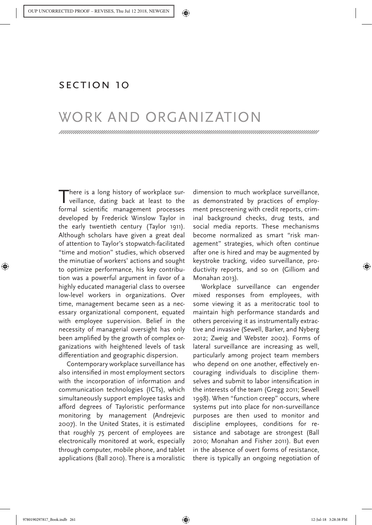Monahan, Torin, and David Murakami Wood. 2018. Work and Organization. In Surveillance Studies: A Reader, edited by T. Monahan and D. Murakami Wood. New York: Oxford University Press, 261-263.

## Section 10

## WORK AND ORGANIZATION

There is a long history of workplace surveillance, dating back at least to the formal scientific management processes developed by Frederick Winslow Taylor in the early twentieth century (Taylor 1911). Although scholars have given a great deal of attention to Taylor's stopwatch-facilitated "time and motion" studies, which observed the minutiae of workers' actions and sought to optimize performance, his key contribution was a powerful argument in favor of a highly educated managerial class to oversee low-level workers in organizations. Over time, management became seen as a necessary organizational component, equated with employee supervision. Belief in the necessity of managerial oversight has only been amplified by the growth of complex organizations with heightened levels of task differentiation and geographic dispersion.

Contemporary workplace surveillance has also intensified in most employment sectors with the incorporation of information and communication technologies (ICTs), which simultaneously support employee tasks and afford degrees of Tayloristic performance monitoring by management (Andrejevic 2007). In the United States, it is estimated that roughly 75 percent of employees are electronically monitored at work, especially through computer, mobile phone, and tablet applications (Ball 2010). There is a moralistic dimension to much workplace surveillance, as demonstrated by practices of employment prescreening with credit reports, criminal background checks, drug tests, and social media reports. These mechanisms become normalized as smart "risk management" strategies, which often continue after one is hired and may be augmented by keystroke tracking, video surveillance, productivity reports, and so on (Gilliom and Monahan 2013).

Workplace surveillance can engender mixed responses from employees, with some viewing it as a meritocratic tool to maintain high performance standards and others perceiving it as instrumentally extractive and invasive (Sewell, Barker, and Nyberg 2012; Zweig and Webster 2002). Forms of lateral surveillance are increasing as well, particularly among project team members who depend on one another, effectively encouraging individuals to discipline themselves and submit to labor intensification in the interests of the team (Gregg 2011; Sewell 1998). When "function creep" occurs, where systems put into place for non-surveillance purposes are then used to monitor and discipline employees, conditions for resistance and sabotage are strongest (Ball 2010; Monahan and Fisher 2011). But even in the absence of overt forms of resistance, there is typically an ongoing negotiation of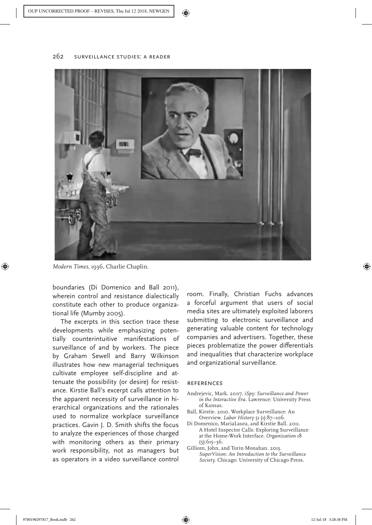

*Modern Times*, 1936, Charlie Chaplin.

boundaries (Di Domenico and Ball 2011), wherein control and resistance dialectically constitute each other to produce organizational life (Mumby 2005).

The excerpts in this section trace these developments while emphasizing potentially counterintuitive manifestations of surveillance of and by workers. The piece by Graham Sewell and Barry Wilkinson illustrates how new managerial techniques cultivate employee self-discipline and attenuate the possibility (or desire) for resistance. Kirstie Ball's excerpt calls attention to the apparent necessity of surveillance in hierarchical organizations and the rationales used to normalize workplace surveillance practices. Gavin J. D. Smith shifts the focus to analyze the experiences of those charged with monitoring others as their primary work responsibility, not as managers but as operators in a video surveillance control room. Finally, Christian Fuchs advances a forceful argument that users of social media sites are ultimately exploited laborers submitting to electronic surveillance and generating valuable content for technology companies and advertisers. Together, these pieces problematize the power differentials and inequalities that characterize workplace and organizational surveillance.

## **REFERENCES**

- Andrejevic, Mark. 2007. *iSpy: Surveillance and Power in the Interactive Era*. Lawrence: University Press of Kansas.
- Ball, Kirstie. 2010. Workplace Surveillance: An Overview. *Labor History* 51 (1):87–106.
- Di Domenico, MariaLaura, and Kirstie Ball. 2011. A Hotel Inspector Calls: Exploring Surveillance at the Home-Work Interface. *Organization* 18  $(5):615-36.$
- Gilliom, John, and Torin Monahan. 2013. *SuperVision: An Introduction to the Surveillance Society*. Chicago: University of Chicago Press.